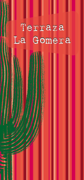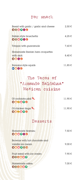## For snack

| Bread with garlic / garlic and cheese<br>000000 | 2,50 € |
|-------------------------------------------------|--------|
| Italian style bruschetta<br>000000              | 4,25 € |
| Totopos with guacamole                          | 7,60 € |
| Homemade Iberian ham croquettes                 |        |
| with aioli                                      | 8,40€  |
| $\bullet$ $\bullet$ $\bullet$                   |        |
| Romana style squids                             | 11,85€ |
| 6660                                            |        |

## The Tacos of "Armando Saldahna" Mexican cuisine

| Of cochinita pibil<br>006060                                  | 11,90 € |
|---------------------------------------------------------------|---------|
| Of chicken tinga<br>086080                                    | 11,90€  |
| Desserts                                                      |         |
| Homemade tiramisu<br>080880                                   | 7,50 €  |
| Brownie with hot chocolate and<br>vanilla ice cream<br>080900 | 9,00 €  |
| Fruit salad with ice cream<br>000600                          | 7,90€   |
| Homemade cakes<br>000000                                      | 7,00 €  |